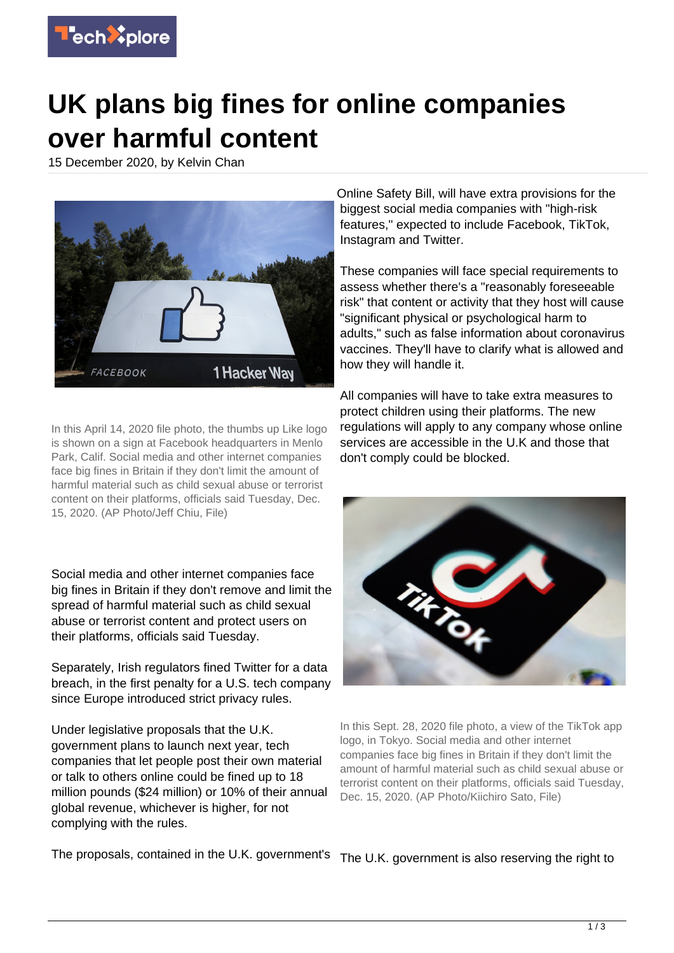

## **UK plans big fines for online companies over harmful content**

15 December 2020, by Kelvin Chan



In this April 14, 2020 file photo, the thumbs up Like logo is shown on a sign at Facebook headquarters in Menlo Park, Calif. Social media and other internet companies face big fines in Britain if they don't limit the amount of harmful material such as child sexual abuse or terrorist content on their platforms, officials said Tuesday, Dec. 15, 2020. (AP Photo/Jeff Chiu, File)

Social media and other internet companies face big fines in Britain if they don't remove and limit the spread of harmful material such as child sexual abuse or terrorist content and protect users on their platforms, officials said Tuesday.

Separately, Irish regulators fined Twitter for a data breach, in the first penalty for a U.S. tech company since Europe introduced strict privacy rules.

Under legislative proposals that the U.K. government plans to launch next year, tech companies that let people post their own material or talk to others online could be fined up to 18 million pounds (\$24 million) or 10% of their annual global revenue, whichever is higher, for not complying with the rules.

Online Safety Bill, will have extra provisions for the biggest social media companies with "high-risk features," expected to include Facebook, TikTok, Instagram and Twitter.

These companies will face special requirements to assess whether there's a "reasonably foreseeable risk" that content or activity that they host will cause "significant physical or psychological harm to adults," such as false information about coronavirus vaccines. They'll have to clarify what is allowed and how they will handle it.

All companies will have to take extra measures to protect children using their platforms. The new regulations will apply to any company whose online services are accessible in the U.K and those that don't comply could be blocked.



In this Sept. 28, 2020 file photo, a view of the TikTok app logo, in Tokyo. Social media and other internet companies face big fines in Britain if they don't limit the amount of harmful material such as child sexual abuse or terrorist content on their platforms, officials said Tuesday, Dec. 15, 2020. (AP Photo/Kiichiro Sato, File)

The proposals, contained in the U.K. government's The U.K. government is also reserving the right to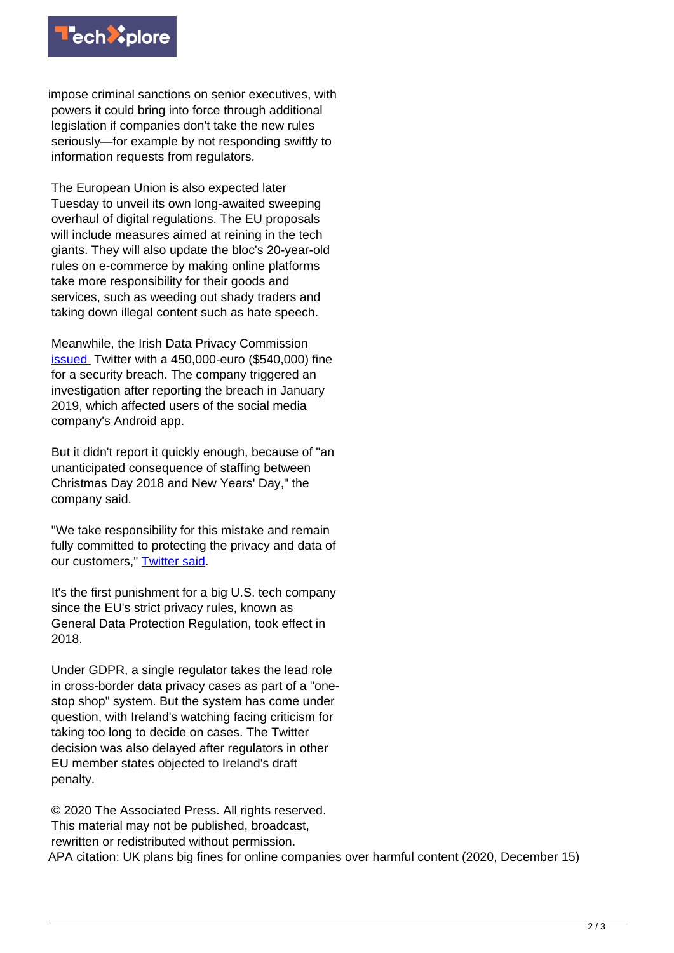

impose criminal sanctions on senior executives, with powers it could bring into force through additional legislation if companies don't take the new rules seriously—for example by not responding swiftly to information requests from regulators.

The European Union is also expected later Tuesday to unveil its own long-awaited sweeping overhaul of digital regulations. The EU proposals will include measures aimed at reining in the tech giants. They will also update the bloc's 20-year-old rules on e-commerce by making online platforms take more responsibility for their goods and services, such as weeding out shady traders and taking down illegal content such as hate speech.

Meanwhile, the Irish Data Privacy Commission [issued](https://www.dataprotection.ie/en/news-media/press-releases/data-protection-commission-announces-decision-twitter-inquiry) Twitter with a 450,000-euro (\$540,000) fine for a security breach. The company triggered an investigation after reporting the breach in January 2019, which affected users of the social media company's Android app.

But it didn't report it quickly enough, because of "an unanticipated consequence of staffing between Christmas Day 2018 and New Years' Day," the company said.

"We take responsibility for this mistake and remain fully committed to protecting the privacy and data of our customers," [Twitter said](https://twitter.com/TwitterComms/status/1338790341550419969?s=20).

It's the first punishment for a big U.S. tech company since the EU's strict privacy rules, known as General Data Protection Regulation, took effect in 2018.

Under GDPR, a single regulator takes the lead role in cross-border data privacy cases as part of a "onestop shop" system. But the system has come under question, with Ireland's watching facing criticism for taking too long to decide on cases. The Twitter decision was also delayed after regulators in other EU member states objected to Ireland's draft penalty.

© 2020 The Associated Press. All rights reserved. This material may not be published, broadcast, rewritten or redistributed without permission. APA citation: UK plans big fines for online companies over harmful content (2020, December 15)